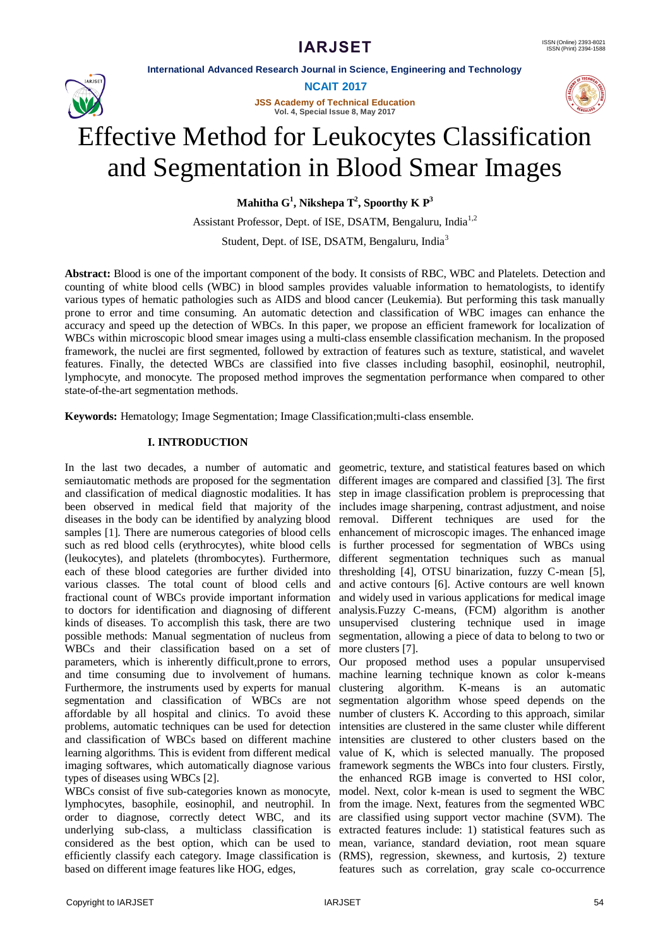**International Advanced Research Journal in Science, Engineering and Technology**



**NCAIT 2017**

**JSS Academy of Technical Education Vol. 4, Special Issue 8, May 2017**



# Effective Method for Leukocytes Classification and Segmentation in Blood Smear Images

**Mahitha G<sup>1</sup> , Nikshepa T 2 , Spoorthy K P<sup>3</sup>**

Assistant Professor, Dept. of ISE, DSATM, Bengaluru, India<sup>1,2</sup>

Student, Dept. of ISE, DSATM, Bengaluru, India<sup>3</sup>

**Abstract:** Blood is one of the important component of the body. It consists of RBC, WBC and Platelets. Detection and counting of white blood cells (WBC) in blood samples provides valuable information to hematologists, to identify various types of hematic pathologies such as AIDS and blood cancer (Leukemia). But performing this task manually prone to error and time consuming. An automatic detection and classification of WBC images can enhance the accuracy and speed up the detection of WBCs. In this paper, we propose an efficient framework for localization of WBCs within microscopic blood smear images using a multi-class ensemble classification mechanism. In the proposed framework, the nuclei are first segmented, followed by extraction of features such as texture, statistical, and wavelet features. Finally, the detected WBCs are classified into five classes including basophil, eosinophil, neutrophil, lymphocyte, and monocyte. The proposed method improves the segmentation performance when compared to other state-of-the-art segmentation methods.

**Keywords:** Hematology; Image Segmentation; Image Classification;multi-class ensemble.

# **I. INTRODUCTION**

In the last two decades, a number of automatic and semiautomatic methods are proposed for the segmentation and classification of medical diagnostic modalities. It has been observed in medical field that majority of the includes image sharpening, contrast adjustment, and noise diseases in the body can be identified by analyzing blood removal. Different techniques are used for the samples [1]. There are numerous categories of blood cells enhancement of microscopic images. The enhanced image such as red blood cells (erythrocytes), white blood cells is further processed for segmentation of WBCs using (leukocytes), and platelets (thrombocytes). Furthermore, each of these blood categories are further divided into various classes. The total count of blood cells and fractional count of WBCs provide important information to doctors for identification and diagnosing of different kinds of diseases. To accomplish this task, there are two possible methods: Manual segmentation of nucleus from WBCs and their classification based on a set of parameters, which is inherently difficult,prone to errors, and time consuming due to involvement of humans. Furthermore, the instruments used by experts for manual segmentation and classification of WBCs are not affordable by all hospital and clinics. To avoid these problems, automatic techniques can be used for detection and classification of WBCs based on different machine learning algorithms. This is evident from different medical imaging softwares, which automatically diagnose various types of diseases using WBCs [2].

WBCs consist of five sub-categories known as monocyte, lymphocytes, basophile, eosinophil, and neutrophil. In order to diagnose, correctly detect WBC, and its underlying sub-class, a multiclass classification is considered as the best option, which can be used to efficiently classify each category. Image classification is based on different image features like HOG, edges,

geometric, texture, and statistical features based on which different images are compared and classified [3]. The first step in image classification problem is preprocessing that different segmentation techniques such as manual thresholding [4], OTSU binarization, fuzzy C-mean [5], and active contours [6]. Active contours are well known and widely used in various applications for medical image analysis.Fuzzy C-means, (FCM) algorithm is another unsupervised clustering technique used in image segmentation, allowing a piece of data to belong to two or more clusters [7].

Our proposed method uses a popular unsupervised machine learning technique known as color k-means clustering algorithm. K-means is an automatic segmentation algorithm whose speed depends on the number of clusters K. According to this approach, similar intensities are clustered in the same cluster while different intensities are clustered to other clusters based on the value of K, which is selected manually. The proposed framework segments the WBCs into four clusters. Firstly, the enhanced RGB image is converted to HSI color, model. Next, color k-mean is used to segment the WBC from the image. Next, features from the segmented WBC are classified using support vector machine (SVM). The extracted features include: 1) statistical features such as mean, variance, standard deviation, root mean square (RMS), regression, skewness, and kurtosis, 2) texture features such as correlation, gray scale co-occurrence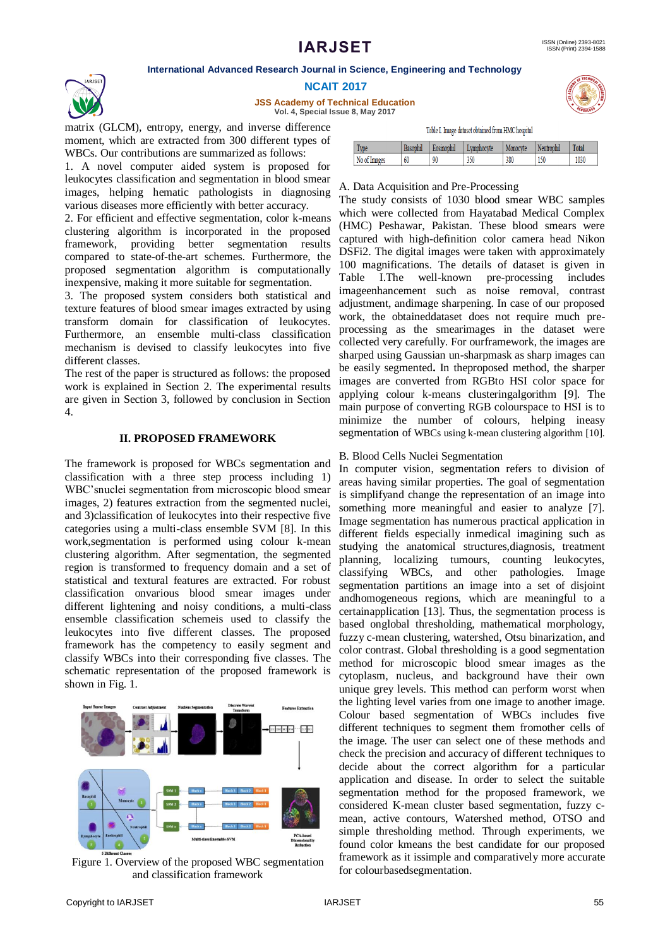#### **International Advanced Research Journal in Science, Engineering and Technology**



**NCAIT 2017**

**JSS Academy of Technical Education Vol. 4, Special Issue 8, May 2017**

matrix (GLCM), entropy, energy, and inverse difference moment, which are extracted from 300 different types of WBCs. Our contributions are summarized as follows:

1. A novel computer aided system is proposed for leukocytes classification and segmentation in blood smear images, helping hematic pathologists in diagnosing various diseases more efficiently with better accuracy.

2. For efficient and effective segmentation, color k-means clustering algorithm is incorporated in the proposed framework, providing better segmentation results compared to state-of-the-art schemes. Furthermore, the proposed segmentation algorithm is computationally inexpensive, making it more suitable for segmentation.

3. The proposed system considers both statistical and texture features of blood smear images extracted by using transform domain for classification of leukocytes. Furthermore, an ensemble multi-class classification mechanism is devised to classify leukocytes into five different classes.

The rest of the paper is structured as follows: the proposed work is explained in Section 2. The experimental results are given in Section 3, followed by conclusion in Section 4.

#### **II. PROPOSED FRAMEWORK**

The framework is proposed for WBCs segmentation and classification with a three step process including 1) WBC'snuclei segmentation from microscopic blood smear images, 2) features extraction from the segmented nuclei, and 3)classification of leukocytes into their respective five categories using a multi-class ensemble SVM [8]. In this work,segmentation is performed using colour k-mean clustering algorithm. After segmentation, the segmented region is transformed to frequency domain and a set of statistical and textural features are extracted. For robust classification onvarious blood smear images under different lightening and noisy conditions, a multi-class ensemble classification schemeis used to classify the leukocytes into five different classes. The proposed framework has the competency to easily segment and classify WBCs into their corresponding five classes. The schematic representation of the proposed framework is shown in Fig. 1.



Figure 1. Overview of the proposed WBC segmentation and classification framework

| <b>ECHNICA</b>   |
|------------------|
|                  |
|                  |
| Ø.<br>u,<br>VGAL |

Table I. Image dataset obtained from HMC hospital

| Type         | Basophi | Eosinophi | .vmphocvte | Monocyte |     | Total |
|--------------|---------|-----------|------------|----------|-----|-------|
| No of Images | 60      | 90        | 350        | 380      | 150 | 1030  |
|              |         |           |            |          |     |       |

#### A. Data Acquisition and Pre-Processing

The study consists of 1030 blood smear WBC samples which were collected from Hayatabad Medical Complex (HMC) Peshawar, Pakistan. These blood smears were captured with high-definition color camera head Nikon DSFi2. The digital images were taken with approximately 100 magnifications. The details of dataset is given in Table I.The well-known pre-processing includes imageenhancement such as noise removal, contrast adjustment, andimage sharpening. In case of our proposed work, the obtaineddataset does not require much preprocessing as the smearimages in the dataset were collected very carefully. For ourframework, the images are sharped using Gaussian un-sharpmask as sharp images can be easily segmented**.** In theproposed method, the sharper images are converted from RGBto HSI color space for applying colour k-means clusteringalgorithm [9]. The main purpose of converting RGB colourspace to HSI is to minimize the number of colours, helping ineasy segmentation of WBCs using k-mean clustering algorithm [10].

#### B. Blood Cells Nuclei Segmentation

In computer vision, segmentation refers to division of areas having similar properties. The goal of segmentation is simplifyand change the representation of an image into something more meaningful and easier to analyze [7]. Image segmentation has numerous practical application in different fields especially inmedical imagining such as studying the anatomical structures,diagnosis, treatment planning, localizing tumours, counting leukocytes, classifying WBCs, and other pathologies. Image segmentation partitions an image into a set of disjoint andhomogeneous regions, which are meaningful to a certainapplication [13]. Thus, the segmentation process is based onglobal thresholding, mathematical morphology, fuzzy c-mean clustering, watershed, Otsu binarization, and color contrast. Global thresholding is a good segmentation method for microscopic blood smear images as the cytoplasm, nucleus, and background have their own unique grey levels. This method can perform worst when the lighting level varies from one image to another image. Colour based segmentation of WBCs includes five different techniques to segment them fromother cells of the image. The user can select one of these methods and check the precision and accuracy of different techniques to decide about the correct algorithm for a particular application and disease. In order to select the suitable segmentation method for the proposed framework, we considered K-mean cluster based segmentation, fuzzy cmean, active contours, Watershed method, OTSO and simple thresholding method. Through experiments, we found color kmeans the best candidate for our proposed framework as it issimple and comparatively more accurate for colourbasedsegmentation.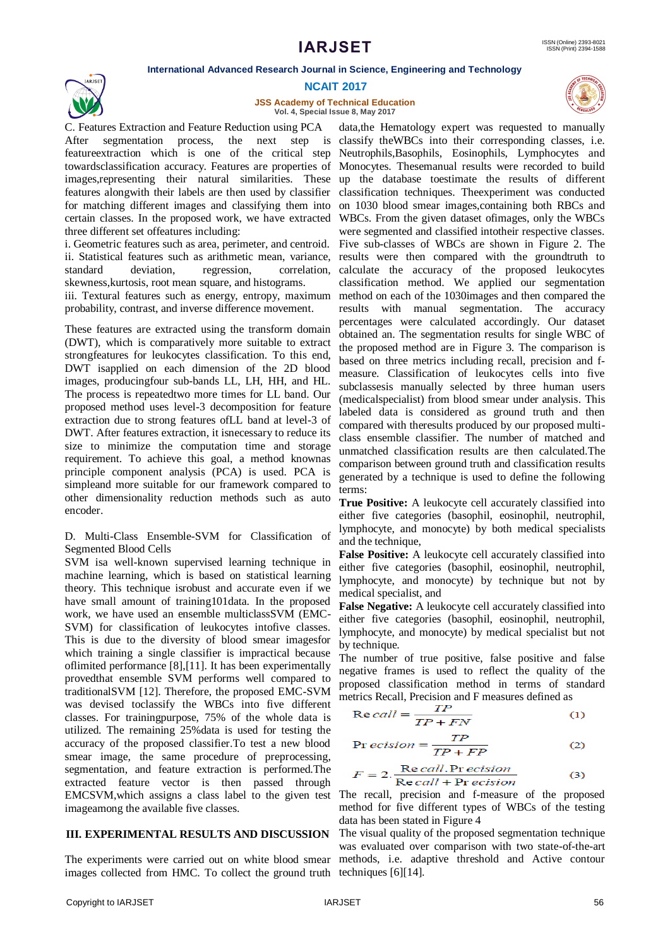**International Advanced Research Journal in Science, Engineering and Technology**



**NCAIT 2017**

**JSS Academy of Technical Education Vol. 4, Special Issue 8, May 2017**



C. Features Extraction and Feature Reduction using PCA After segmentation process, the next step is classify theWBCs into their corresponding classes, i.e. featureextraction which is one of the critical step Neutrophils,Basophils, Eosinophils, Lymphocytes and towardsclassification accuracy. Features are properties of Monocytes. Thesemanual results were recorded to build images,representing their natural similarities. These up the database toestimate the results of different features alongwith their labels are then used by classifier classification techniques. Theexperiment was conducted for matching different images and classifying them into on 1030 blood smear images,containing both RBCs and certain classes. In the proposed work, we have extracted WBCs. From the given dataset ofimages, only the WBCs three different set offeatures including:

i. Geometric features such as area, perimeter, and centroid. Five sub-classes of WBCs are shown in Figure 2. The ii. Statistical features such as arithmetic mean, variance, results were then compared with the groundtruth to standard deviation, regression, correlation, calculate the accuracy of the proposed leukocytes skewness,kurtosis, root mean square, and histograms.

iii. Textural features such as energy, entropy, maximum probability, contrast, and inverse difference movement.

These features are extracted using the transform domain (DWT), which is comparatively more suitable to extract strongfeatures for leukocytes classification. To this end, DWT isapplied on each dimension of the 2D blood images, producingfour sub-bands LL, LH, HH, and HL. The process is repeatedtwo more times for LL band. Our proposed method uses level-3 decomposition for feature extraction due to strong features ofLL band at level-3 of DWT. After features extraction, it isnecessary to reduce its size to minimize the computation time and storage requirement. To achieve this goal, a method knownas principle component analysis (PCA) is used. PCA is simpleand more suitable for our framework compared to other dimensionality reduction methods such as auto encoder.

D. Multi-Class Ensemble-SVM for Classification of Segmented Blood Cells

SVM isa well-known supervised learning technique in machine learning, which is based on statistical learning theory. This technique isrobust and accurate even if we have small amount of training101data. In the proposed work, we have used an ensemble multiclassSVM (EMC-SVM) for classification of leukocytes intofive classes. This is due to the diversity of blood smear imagesfor which training a single classifier is impractical because oflimited performance [8],[11]. It has been experimentally provedthat ensemble SVM performs well compared to traditionalSVM [12]. Therefore, the proposed EMC-SVM was devised toclassify the WBCs into five different classes. For trainingpurpose, 75% of the whole data is utilized. The remaining 25%data is used for testing the accuracy of the proposed classifier.To test a new blood smear image, the same procedure of preprocessing, segmentation, and feature extraction is performed.The extracted feature vector is then passed through EMCSVM,which assigns a class label to the given test The recall, precision and f-measure of the proposed imageamong the available five classes.

## **III. EXPERIMENTAL RESULTS AND DISCUSSION**

The experiments were carried out on white blood smear methods, i.e. adaptive threshold and Active contour images collected from HMC. To collect the ground truth techniques [6][14].

data,the Hematology expert was requested to manually were segmented and classified intotheir respective classes. classification method. We applied our segmentation method on each of the 1030images and then compared the results with manual segmentation. The accuracy percentages were calculated accordingly. Our dataset obtained an. The segmentation results for single WBC of the proposed method are in Figure 3. The comparison is based on three metrics including recall, precision and fmeasure. Classification of leukocytes cells into five subclassesis manually selected by three human users (medicalspecialist) from blood smear under analysis. This labeled data is considered as ground truth and then compared with theresults produced by our proposed multiclass ensemble classifier. The number of matched and unmatched classification results are then calculated.The comparison between ground truth and classification results generated by a technique is used to define the following terms:

**True Positive:** A leukocyte cell accurately classified into either five categories (basophil, eosinophil, neutrophil, lymphocyte, and monocyte) by both medical specialists and the technique,

**False Positive:** A leukocyte cell accurately classified into either five categories (basophil, eosinophil, neutrophil, lymphocyte, and monocyte) by technique but not by medical specialist, and

**False Negative:** A leukocyte cell accurately classified into either five categories (basophil, eosinophil, neutrophil, lymphocyte, and monocyte) by medical specialist but not by technique.

The number of true positive, false positive and false negative frames is used to reflect the quality of the proposed classification method in terms of standard metrics Recall, Precision and F measures defined as

$$
Re\,call = \frac{TP}{TP + FN} \tag{1}
$$

$$
Pr\text{ }ecision = \frac{TP}{TP + FP}
$$
\n<sup>(2)</sup>

$$
F = 2.\frac{\text{Re call.} \text{Pr } \text{e cision}}{\text{Re call} + \text{Pr } \text{e cision}} \tag{3}
$$

method for five different types of WBCs of the testing data has been stated in Figure 4

The visual quality of the proposed segmentation technique was evaluated over comparison with two state-of-the-art